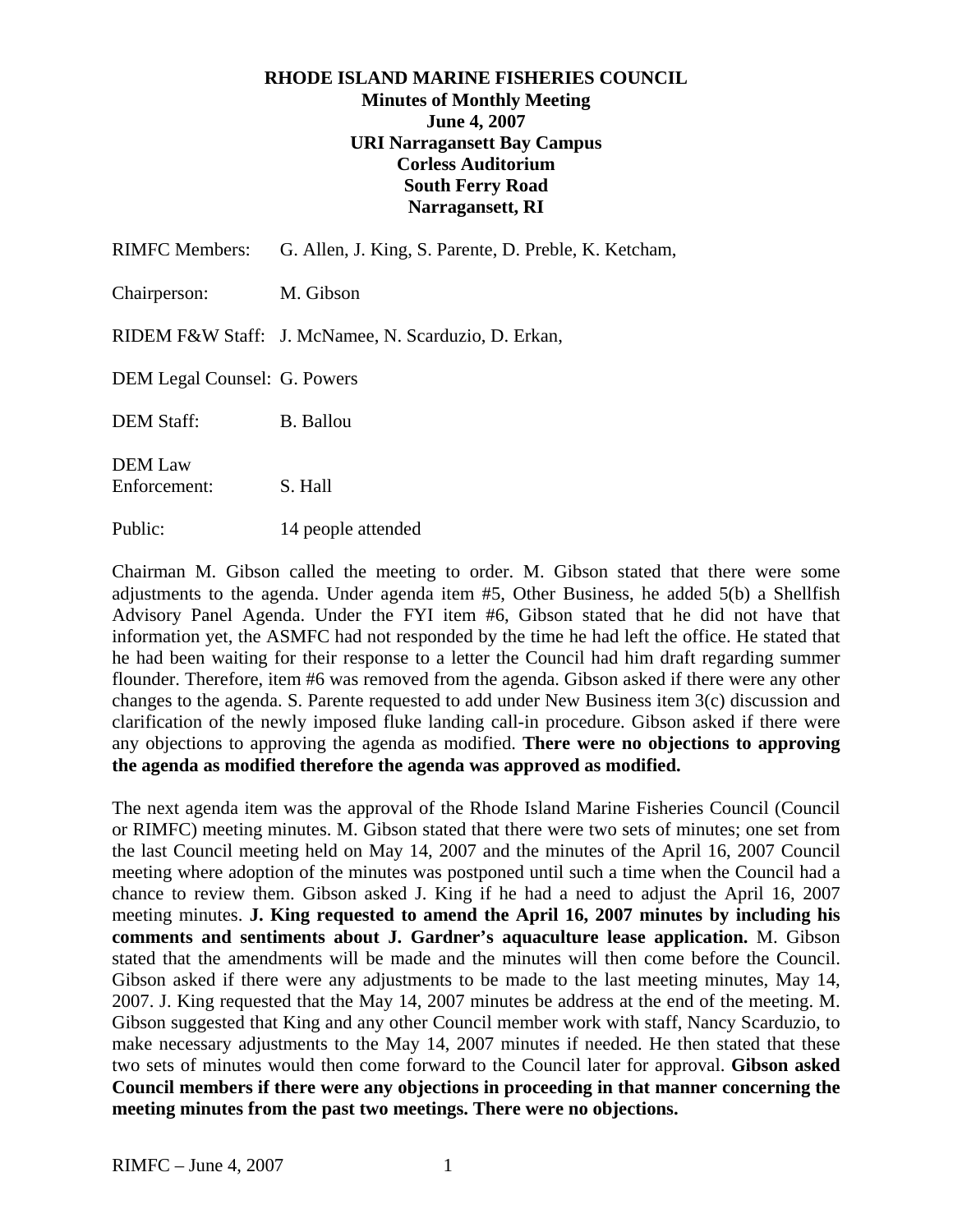#### **RHODE ISLAND MARINE FISHERIES COUNCIL Minutes of Monthly Meeting June 4, 2007 URI Narragansett Bay Campus Corless Auditorium South Ferry Road Narragansett, RI**

| <b>RIMFC Members:</b>               | G. Allen, J. King, S. Parente, D. Preble, K. Ketcham, |
|-------------------------------------|-------------------------------------------------------|
| Chairperson:                        | M. Gibson                                             |
|                                     | RIDEM F&W Staff: J. McNamee, N. Scarduzio, D. Erkan,  |
| <b>DEM Legal Counsel: G. Powers</b> |                                                       |
| <b>DEM Staff:</b>                   | <b>B.</b> Ballou                                      |
| <b>DEM Law</b><br>Enforcement:      | S. Hall                                               |
| Public:                             | 14 people attended                                    |

Chairman M. Gibson called the meeting to order. M. Gibson stated that there were some adjustments to the agenda. Under agenda item #5, Other Business, he added 5(b) a Shellfish Advisory Panel Agenda. Under the FYI item #6, Gibson stated that he did not have that information yet, the ASMFC had not responded by the time he had left the office. He stated that he had been waiting for their response to a letter the Council had him draft regarding summer flounder. Therefore, item #6 was removed from the agenda. Gibson asked if there were any other changes to the agenda. S. Parente requested to add under New Business item 3(c) discussion and clarification of the newly imposed fluke landing call-in procedure. Gibson asked if there were any objections to approving the agenda as modified. **There were no objections to approving the agenda as modified therefore the agenda was approved as modified.** 

The next agenda item was the approval of the Rhode Island Marine Fisheries Council (Council or RIMFC) meeting minutes. M. Gibson stated that there were two sets of minutes; one set from the last Council meeting held on May 14, 2007 and the minutes of the April 16, 2007 Council meeting where adoption of the minutes was postponed until such a time when the Council had a chance to review them. Gibson asked J. King if he had a need to adjust the April 16, 2007 meeting minutes. **J. King requested to amend the April 16, 2007 minutes by including his comments and sentiments about J. Gardner's aquaculture lease application.** M. Gibson stated that the amendments will be made and the minutes will then come before the Council. Gibson asked if there were any adjustments to be made to the last meeting minutes, May 14, 2007. J. King requested that the May 14, 2007 minutes be address at the end of the meeting. M. Gibson suggested that King and any other Council member work with staff, Nancy Scarduzio, to make necessary adjustments to the May 14, 2007 minutes if needed. He then stated that these two sets of minutes would then come forward to the Council later for approval. **Gibson asked Council members if there were any objections in proceeding in that manner concerning the meeting minutes from the past two meetings. There were no objections.**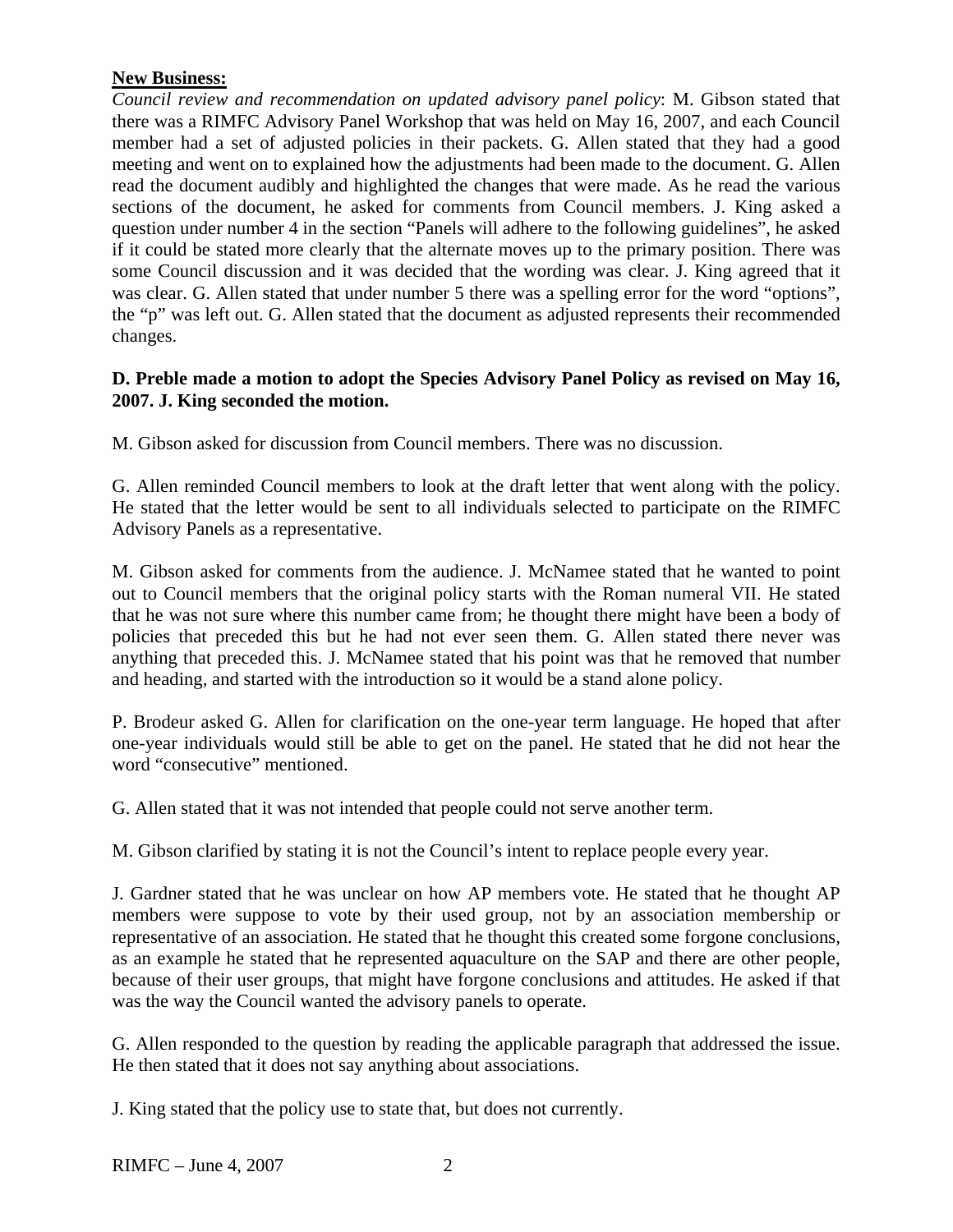### **New Business:**

*Council review and recommendation on updated advisory panel policy*: M. Gibson stated that there was a RIMFC Advisory Panel Workshop that was held on May 16, 2007, and each Council member had a set of adjusted policies in their packets. G. Allen stated that they had a good meeting and went on to explained how the adjustments had been made to the document. G. Allen read the document audibly and highlighted the changes that were made. As he read the various sections of the document, he asked for comments from Council members. J. King asked a question under number 4 in the section "Panels will adhere to the following guidelines", he asked if it could be stated more clearly that the alternate moves up to the primary position. There was some Council discussion and it was decided that the wording was clear. J. King agreed that it was clear. G. Allen stated that under number 5 there was a spelling error for the word "options", the "p" was left out. G. Allen stated that the document as adjusted represents their recommended changes.

#### **D. Preble made a motion to adopt the Species Advisory Panel Policy as revised on May 16, 2007. J. King seconded the motion.**

M. Gibson asked for discussion from Council members. There was no discussion.

G. Allen reminded Council members to look at the draft letter that went along with the policy. He stated that the letter would be sent to all individuals selected to participate on the RIMFC Advisory Panels as a representative.

M. Gibson asked for comments from the audience. J. McNamee stated that he wanted to point out to Council members that the original policy starts with the Roman numeral VII. He stated that he was not sure where this number came from; he thought there might have been a body of policies that preceded this but he had not ever seen them. G. Allen stated there never was anything that preceded this. J. McNamee stated that his point was that he removed that number and heading, and started with the introduction so it would be a stand alone policy.

P. Brodeur asked G. Allen for clarification on the one-year term language. He hoped that after one-year individuals would still be able to get on the panel. He stated that he did not hear the word "consecutive" mentioned.

G. Allen stated that it was not intended that people could not serve another term.

M. Gibson clarified by stating it is not the Council's intent to replace people every year.

J. Gardner stated that he was unclear on how AP members vote. He stated that he thought AP members were suppose to vote by their used group, not by an association membership or representative of an association. He stated that he thought this created some forgone conclusions, as an example he stated that he represented aquaculture on the SAP and there are other people, because of their user groups, that might have forgone conclusions and attitudes. He asked if that was the way the Council wanted the advisory panels to operate.

G. Allen responded to the question by reading the applicable paragraph that addressed the issue. He then stated that it does not say anything about associations.

J. King stated that the policy use to state that, but does not currently.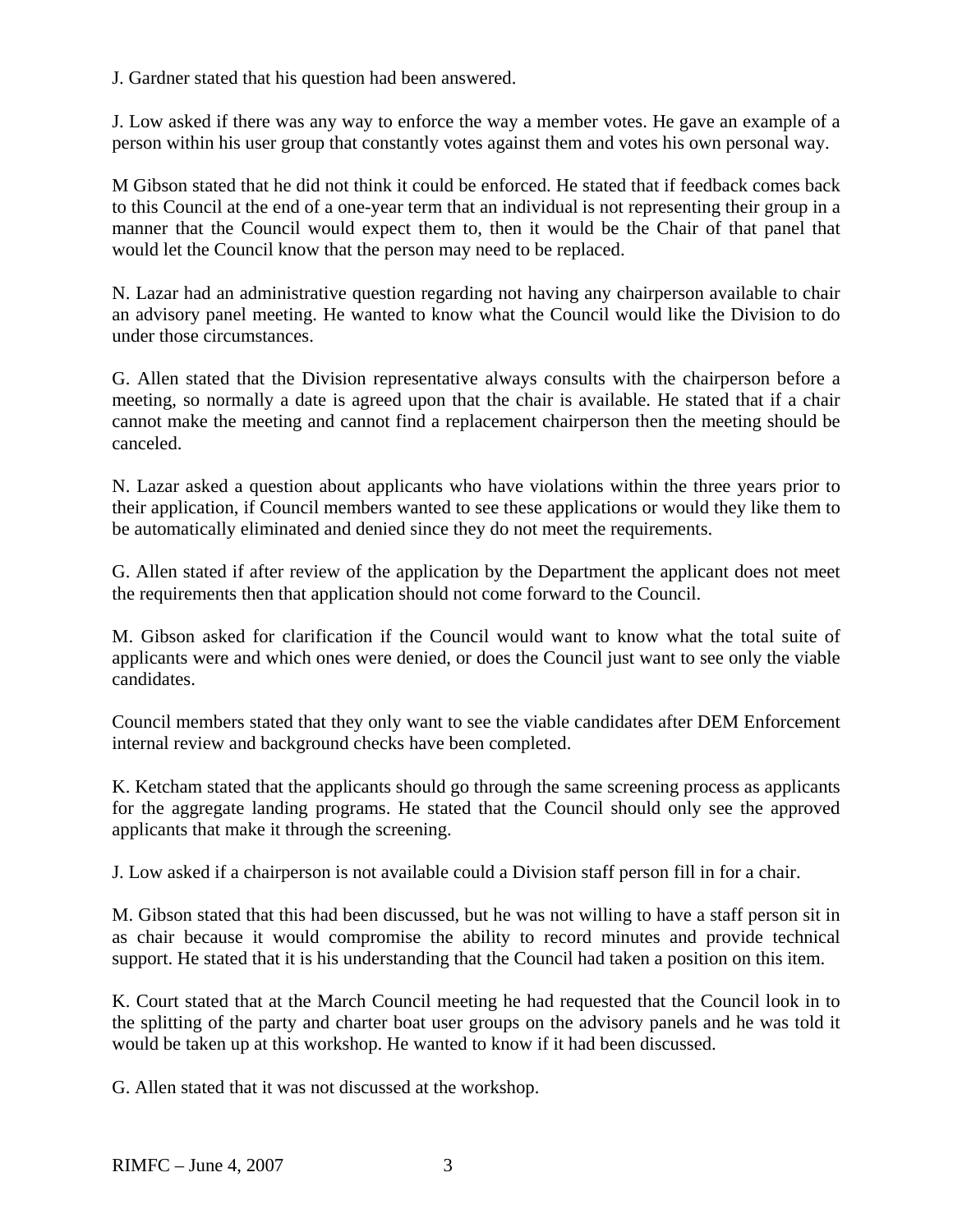J. Gardner stated that his question had been answered.

J. Low asked if there was any way to enforce the way a member votes. He gave an example of a person within his user group that constantly votes against them and votes his own personal way.

M Gibson stated that he did not think it could be enforced. He stated that if feedback comes back to this Council at the end of a one-year term that an individual is not representing their group in a manner that the Council would expect them to, then it would be the Chair of that panel that would let the Council know that the person may need to be replaced.

N. Lazar had an administrative question regarding not having any chairperson available to chair an advisory panel meeting. He wanted to know what the Council would like the Division to do under those circumstances.

G. Allen stated that the Division representative always consults with the chairperson before a meeting, so normally a date is agreed upon that the chair is available. He stated that if a chair cannot make the meeting and cannot find a replacement chairperson then the meeting should be canceled.

N. Lazar asked a question about applicants who have violations within the three years prior to their application, if Council members wanted to see these applications or would they like them to be automatically eliminated and denied since they do not meet the requirements.

G. Allen stated if after review of the application by the Department the applicant does not meet the requirements then that application should not come forward to the Council.

M. Gibson asked for clarification if the Council would want to know what the total suite of applicants were and which ones were denied, or does the Council just want to see only the viable candidates.

Council members stated that they only want to see the viable candidates after DEM Enforcement internal review and background checks have been completed.

K. Ketcham stated that the applicants should go through the same screening process as applicants for the aggregate landing programs. He stated that the Council should only see the approved applicants that make it through the screening.

J. Low asked if a chairperson is not available could a Division staff person fill in for a chair.

M. Gibson stated that this had been discussed, but he was not willing to have a staff person sit in as chair because it would compromise the ability to record minutes and provide technical support. He stated that it is his understanding that the Council had taken a position on this item.

K. Court stated that at the March Council meeting he had requested that the Council look in to the splitting of the party and charter boat user groups on the advisory panels and he was told it would be taken up at this workshop. He wanted to know if it had been discussed.

G. Allen stated that it was not discussed at the workshop.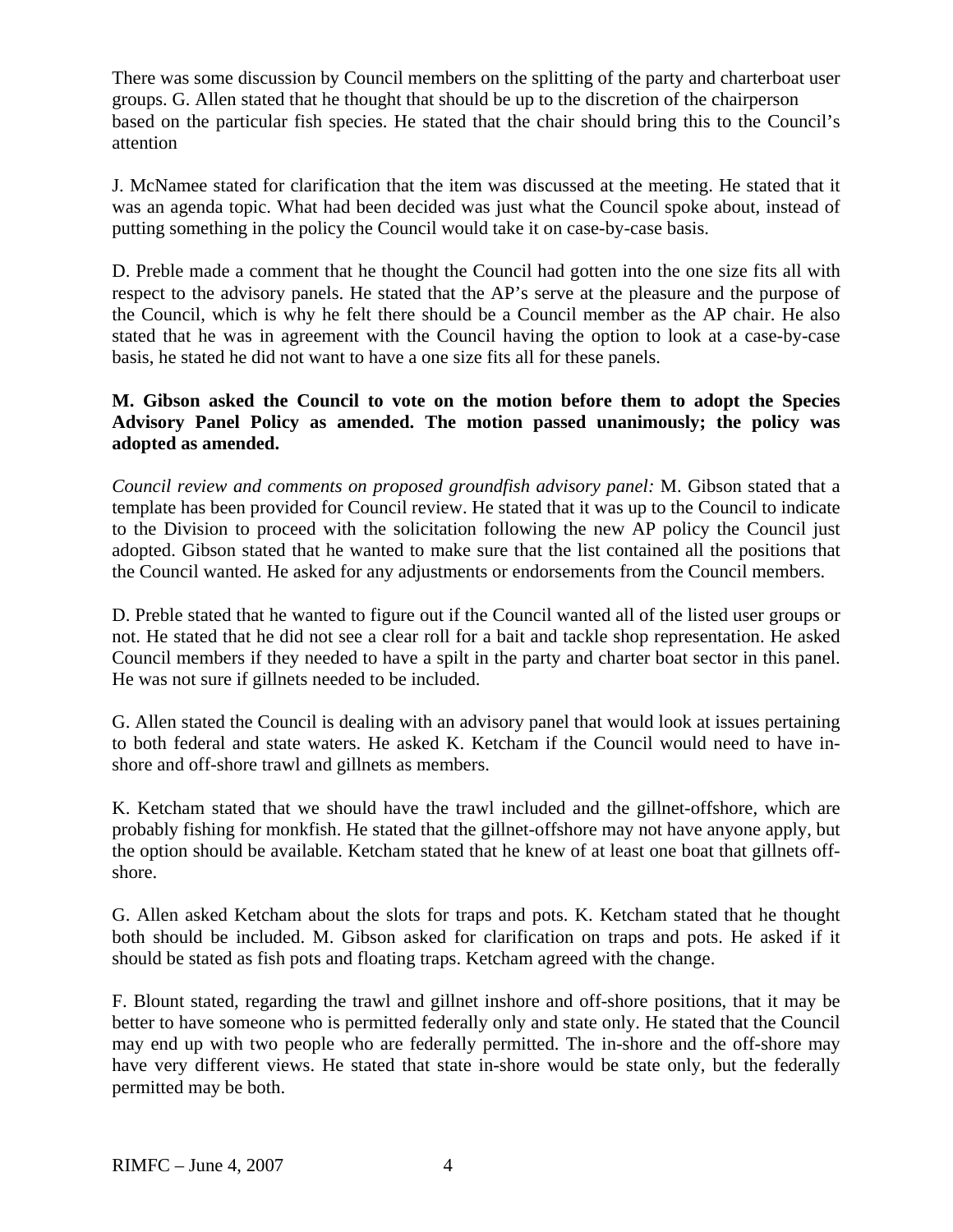There was some discussion by Council members on the splitting of the party and charterboat user groups. G. Allen stated that he thought that should be up to the discretion of the chairperson based on the particular fish species. He stated that the chair should bring this to the Council's attention

J. McNamee stated for clarification that the item was discussed at the meeting. He stated that it was an agenda topic. What had been decided was just what the Council spoke about, instead of putting something in the policy the Council would take it on case-by-case basis.

D. Preble made a comment that he thought the Council had gotten into the one size fits all with respect to the advisory panels. He stated that the AP's serve at the pleasure and the purpose of the Council, which is why he felt there should be a Council member as the AP chair. He also stated that he was in agreement with the Council having the option to look at a case-by-case basis, he stated he did not want to have a one size fits all for these panels.

# **M. Gibson asked the Council to vote on the motion before them to adopt the Species Advisory Panel Policy as amended. The motion passed unanimously; the policy was adopted as amended.**

*Council review and comments on proposed groundfish advisory panel:* M. Gibson stated that a template has been provided for Council review. He stated that it was up to the Council to indicate to the Division to proceed with the solicitation following the new AP policy the Council just adopted. Gibson stated that he wanted to make sure that the list contained all the positions that the Council wanted. He asked for any adjustments or endorsements from the Council members.

D. Preble stated that he wanted to figure out if the Council wanted all of the listed user groups or not. He stated that he did not see a clear roll for a bait and tackle shop representation. He asked Council members if they needed to have a spilt in the party and charter boat sector in this panel. He was not sure if gillnets needed to be included.

G. Allen stated the Council is dealing with an advisory panel that would look at issues pertaining to both federal and state waters. He asked K. Ketcham if the Council would need to have inshore and off-shore trawl and gillnets as members.

K. Ketcham stated that we should have the trawl included and the gillnet-offshore, which are probably fishing for monkfish. He stated that the gillnet-offshore may not have anyone apply, but the option should be available. Ketcham stated that he knew of at least one boat that gillnets offshore.

G. Allen asked Ketcham about the slots for traps and pots. K. Ketcham stated that he thought both should be included. M. Gibson asked for clarification on traps and pots. He asked if it should be stated as fish pots and floating traps. Ketcham agreed with the change.

F. Blount stated, regarding the trawl and gillnet inshore and off-shore positions, that it may be better to have someone who is permitted federally only and state only. He stated that the Council may end up with two people who are federally permitted. The in-shore and the off-shore may have very different views. He stated that state in-shore would be state only, but the federally permitted may be both.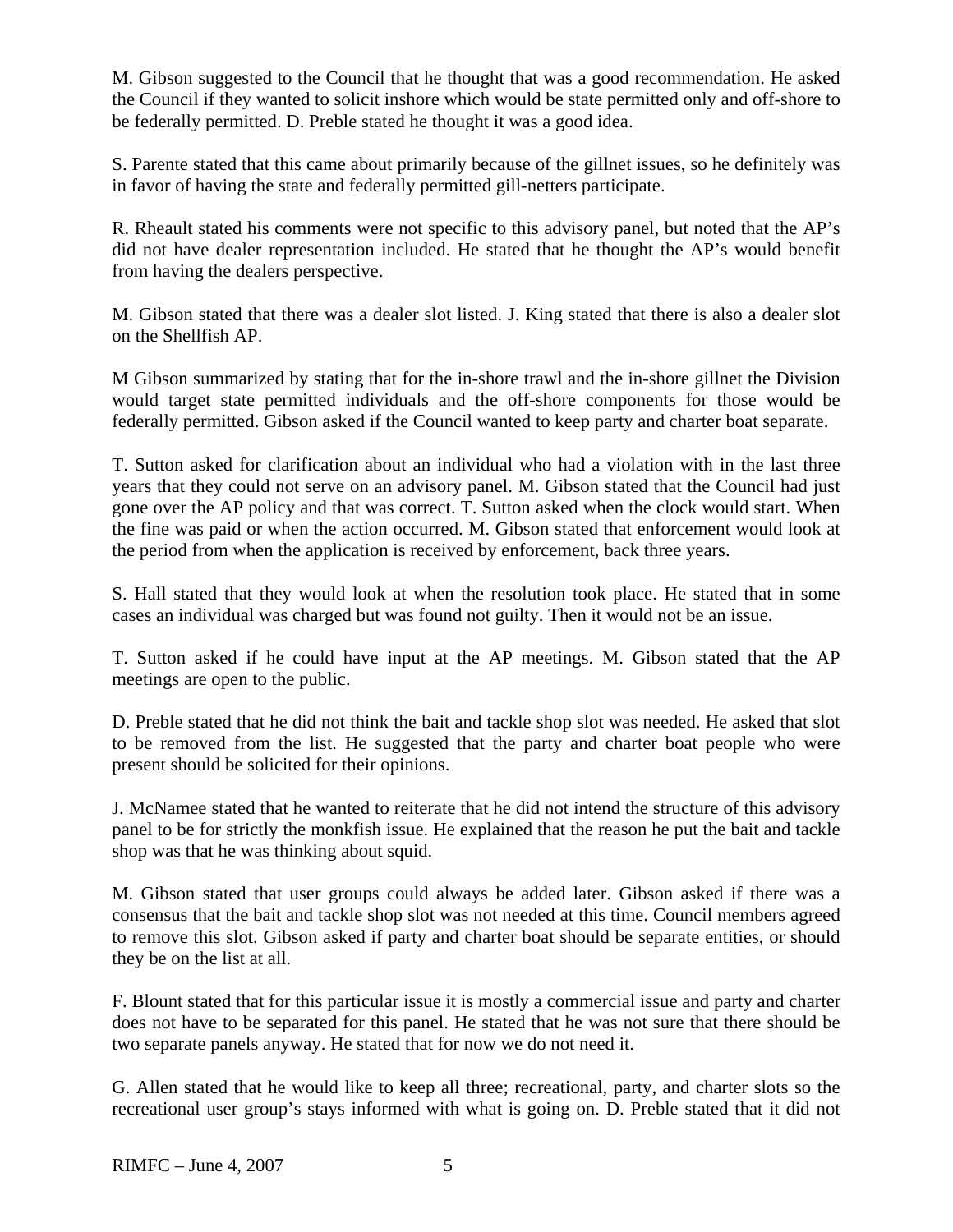M. Gibson suggested to the Council that he thought that was a good recommendation. He asked the Council if they wanted to solicit inshore which would be state permitted only and off-shore to be federally permitted. D. Preble stated he thought it was a good idea.

S. Parente stated that this came about primarily because of the gillnet issues, so he definitely was in favor of having the state and federally permitted gill-netters participate.

R. Rheault stated his comments were not specific to this advisory panel, but noted that the AP's did not have dealer representation included. He stated that he thought the AP's would benefit from having the dealers perspective.

M. Gibson stated that there was a dealer slot listed. J. King stated that there is also a dealer slot on the Shellfish AP.

M Gibson summarized by stating that for the in-shore trawl and the in-shore gillnet the Division would target state permitted individuals and the off-shore components for those would be federally permitted. Gibson asked if the Council wanted to keep party and charter boat separate.

T. Sutton asked for clarification about an individual who had a violation with in the last three years that they could not serve on an advisory panel. M. Gibson stated that the Council had just gone over the AP policy and that was correct. T. Sutton asked when the clock would start. When the fine was paid or when the action occurred. M. Gibson stated that enforcement would look at the period from when the application is received by enforcement, back three years.

S. Hall stated that they would look at when the resolution took place. He stated that in some cases an individual was charged but was found not guilty. Then it would not be an issue.

T. Sutton asked if he could have input at the AP meetings. M. Gibson stated that the AP meetings are open to the public.

D. Preble stated that he did not think the bait and tackle shop slot was needed. He asked that slot to be removed from the list. He suggested that the party and charter boat people who were present should be solicited for their opinions.

J. McNamee stated that he wanted to reiterate that he did not intend the structure of this advisory panel to be for strictly the monkfish issue. He explained that the reason he put the bait and tackle shop was that he was thinking about squid.

M. Gibson stated that user groups could always be added later. Gibson asked if there was a consensus that the bait and tackle shop slot was not needed at this time. Council members agreed to remove this slot. Gibson asked if party and charter boat should be separate entities, or should they be on the list at all.

F. Blount stated that for this particular issue it is mostly a commercial issue and party and charter does not have to be separated for this panel. He stated that he was not sure that there should be two separate panels anyway. He stated that for now we do not need it.

G. Allen stated that he would like to keep all three; recreational, party, and charter slots so the recreational user group's stays informed with what is going on. D. Preble stated that it did not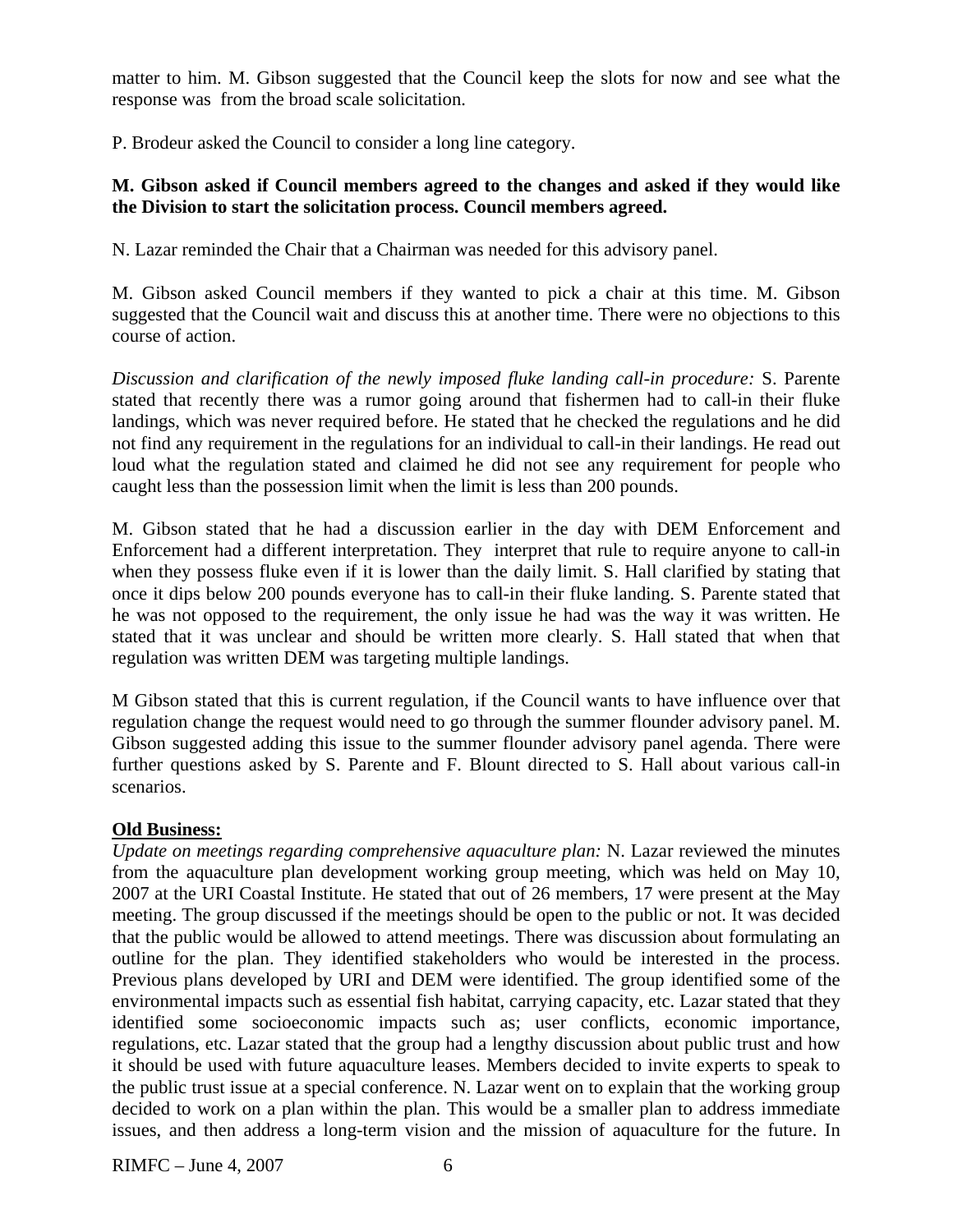matter to him. M. Gibson suggested that the Council keep the slots for now and see what the response was from the broad scale solicitation.

P. Brodeur asked the Council to consider a long line category.

# **M. Gibson asked if Council members agreed to the changes and asked if they would like the Division to start the solicitation process. Council members agreed.**

N. Lazar reminded the Chair that a Chairman was needed for this advisory panel.

M. Gibson asked Council members if they wanted to pick a chair at this time. M. Gibson suggested that the Council wait and discuss this at another time. There were no objections to this course of action.

*Discussion and clarification of the newly imposed fluke landing call-in procedure:* S. Parente stated that recently there was a rumor going around that fishermen had to call-in their fluke landings, which was never required before. He stated that he checked the regulations and he did not find any requirement in the regulations for an individual to call-in their landings. He read out loud what the regulation stated and claimed he did not see any requirement for people who caught less than the possession limit when the limit is less than 200 pounds.

M. Gibson stated that he had a discussion earlier in the day with DEM Enforcement and Enforcement had a different interpretation. They interpret that rule to require anyone to call-in when they possess fluke even if it is lower than the daily limit. S. Hall clarified by stating that once it dips below 200 pounds everyone has to call-in their fluke landing. S. Parente stated that he was not opposed to the requirement, the only issue he had was the way it was written. He stated that it was unclear and should be written more clearly. S. Hall stated that when that regulation was written DEM was targeting multiple landings.

M Gibson stated that this is current regulation, if the Council wants to have influence over that regulation change the request would need to go through the summer flounder advisory panel. M. Gibson suggested adding this issue to the summer flounder advisory panel agenda. There were further questions asked by S. Parente and F. Blount directed to S. Hall about various call-in scenarios.

# **Old Business:**

*Update on meetings regarding comprehensive aquaculture plan:* N. Lazar reviewed the minutes from the aquaculture plan development working group meeting, which was held on May 10, 2007 at the URI Coastal Institute. He stated that out of 26 members, 17 were present at the May meeting. The group discussed if the meetings should be open to the public or not. It was decided that the public would be allowed to attend meetings. There was discussion about formulating an outline for the plan. They identified stakeholders who would be interested in the process. Previous plans developed by URI and DEM were identified. The group identified some of the environmental impacts such as essential fish habitat, carrying capacity, etc. Lazar stated that they identified some socioeconomic impacts such as; user conflicts, economic importance, regulations, etc. Lazar stated that the group had a lengthy discussion about public trust and how it should be used with future aquaculture leases. Members decided to invite experts to speak to the public trust issue at a special conference. N. Lazar went on to explain that the working group decided to work on a plan within the plan. This would be a smaller plan to address immediate issues, and then address a long-term vision and the mission of aquaculture for the future. In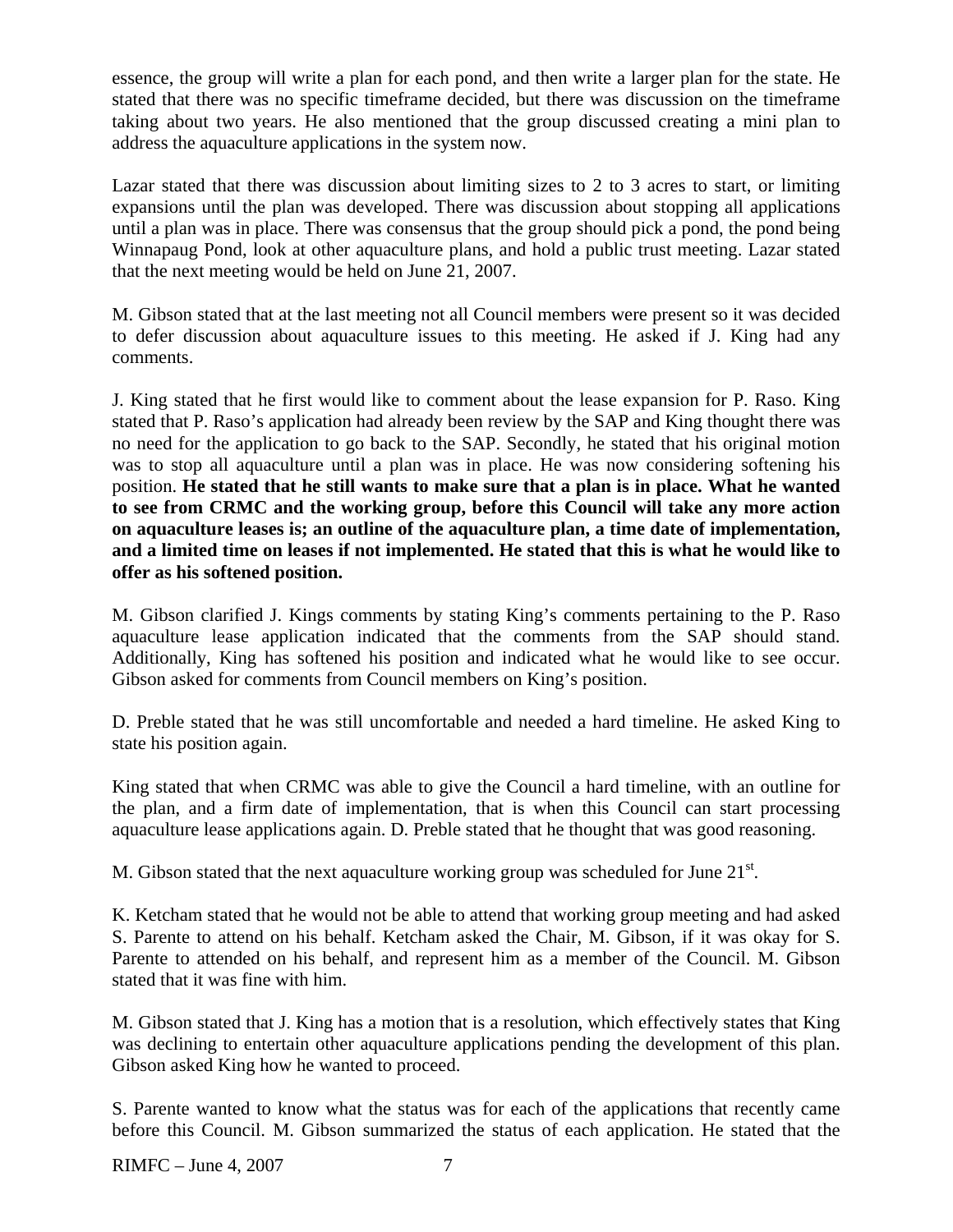essence, the group will write a plan for each pond, and then write a larger plan for the state. He stated that there was no specific timeframe decided, but there was discussion on the timeframe taking about two years. He also mentioned that the group discussed creating a mini plan to address the aquaculture applications in the system now.

Lazar stated that there was discussion about limiting sizes to 2 to 3 acres to start, or limiting expansions until the plan was developed. There was discussion about stopping all applications until a plan was in place. There was consensus that the group should pick a pond, the pond being Winnapaug Pond, look at other aquaculture plans, and hold a public trust meeting. Lazar stated that the next meeting would be held on June 21, 2007.

M. Gibson stated that at the last meeting not all Council members were present so it was decided to defer discussion about aquaculture issues to this meeting. He asked if J. King had any comments.

J. King stated that he first would like to comment about the lease expansion for P. Raso. King stated that P. Raso's application had already been review by the SAP and King thought there was no need for the application to go back to the SAP. Secondly, he stated that his original motion was to stop all aquaculture until a plan was in place. He was now considering softening his position. **He stated that he still wants to make sure that a plan is in place. What he wanted to see from CRMC and the working group, before this Council will take any more action on aquaculture leases is; an outline of the aquaculture plan, a time date of implementation, and a limited time on leases if not implemented. He stated that this is what he would like to offer as his softened position.** 

M. Gibson clarified J. Kings comments by stating King's comments pertaining to the P. Raso aquaculture lease application indicated that the comments from the SAP should stand. Additionally, King has softened his position and indicated what he would like to see occur. Gibson asked for comments from Council members on King's position.

D. Preble stated that he was still uncomfortable and needed a hard timeline. He asked King to state his position again.

King stated that when CRMC was able to give the Council a hard timeline, with an outline for the plan, and a firm date of implementation, that is when this Council can start processing aquaculture lease applications again. D. Preble stated that he thought that was good reasoning.

M. Gibson stated that the next aquaculture working group was scheduled for June  $21^{st}$ .

K. Ketcham stated that he would not be able to attend that working group meeting and had asked S. Parente to attend on his behalf. Ketcham asked the Chair, M. Gibson, if it was okay for S. Parente to attended on his behalf, and represent him as a member of the Council. M. Gibson stated that it was fine with him.

M. Gibson stated that J. King has a motion that is a resolution, which effectively states that King was declining to entertain other aquaculture applications pending the development of this plan. Gibson asked King how he wanted to proceed.

S. Parente wanted to know what the status was for each of the applications that recently came before this Council. M. Gibson summarized the status of each application. He stated that the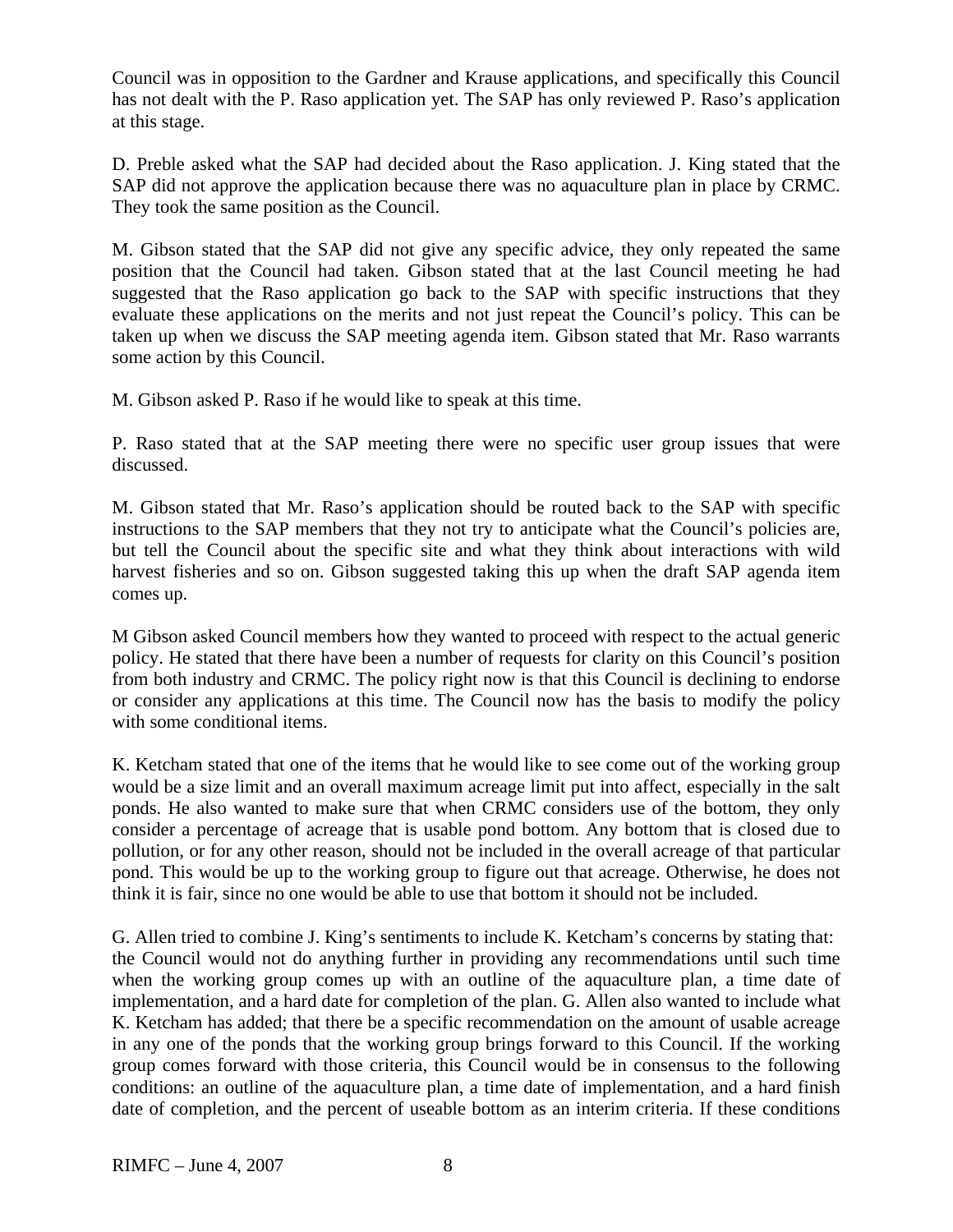Council was in opposition to the Gardner and Krause applications, and specifically this Council has not dealt with the P. Raso application yet. The SAP has only reviewed P. Raso's application at this stage.

D. Preble asked what the SAP had decided about the Raso application. J. King stated that the SAP did not approve the application because there was no aquaculture plan in place by CRMC. They took the same position as the Council.

M. Gibson stated that the SAP did not give any specific advice, they only repeated the same position that the Council had taken. Gibson stated that at the last Council meeting he had suggested that the Raso application go back to the SAP with specific instructions that they evaluate these applications on the merits and not just repeat the Council's policy. This can be taken up when we discuss the SAP meeting agenda item. Gibson stated that Mr. Raso warrants some action by this Council.

M. Gibson asked P. Raso if he would like to speak at this time.

P. Raso stated that at the SAP meeting there were no specific user group issues that were discussed.

M. Gibson stated that Mr. Raso's application should be routed back to the SAP with specific instructions to the SAP members that they not try to anticipate what the Council's policies are, but tell the Council about the specific site and what they think about interactions with wild harvest fisheries and so on. Gibson suggested taking this up when the draft SAP agenda item comes up.

M Gibson asked Council members how they wanted to proceed with respect to the actual generic policy. He stated that there have been a number of requests for clarity on this Council's position from both industry and CRMC. The policy right now is that this Council is declining to endorse or consider any applications at this time. The Council now has the basis to modify the policy with some conditional items.

K. Ketcham stated that one of the items that he would like to see come out of the working group would be a size limit and an overall maximum acreage limit put into affect, especially in the salt ponds. He also wanted to make sure that when CRMC considers use of the bottom, they only consider a percentage of acreage that is usable pond bottom. Any bottom that is closed due to pollution, or for any other reason, should not be included in the overall acreage of that particular pond. This would be up to the working group to figure out that acreage. Otherwise, he does not think it is fair, since no one would be able to use that bottom it should not be included.

G. Allen tried to combine J. King's sentiments to include K. Ketcham's concerns by stating that: the Council would not do anything further in providing any recommendations until such time when the working group comes up with an outline of the aquaculture plan, a time date of implementation, and a hard date for completion of the plan. G. Allen also wanted to include what K. Ketcham has added; that there be a specific recommendation on the amount of usable acreage in any one of the ponds that the working group brings forward to this Council. If the working group comes forward with those criteria, this Council would be in consensus to the following conditions: an outline of the aquaculture plan, a time date of implementation, and a hard finish date of completion, and the percent of useable bottom as an interim criteria. If these conditions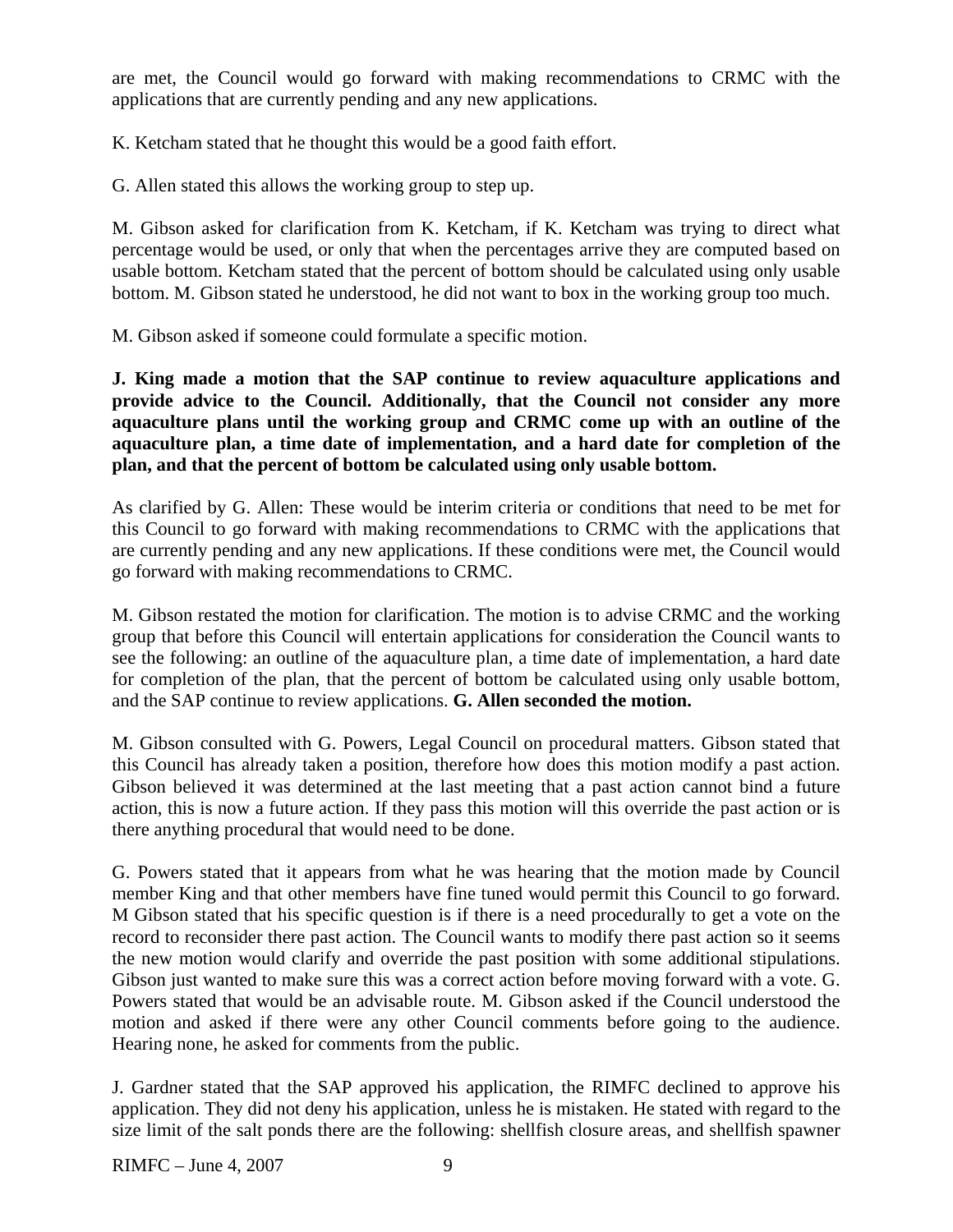are met, the Council would go forward with making recommendations to CRMC with the applications that are currently pending and any new applications.

K. Ketcham stated that he thought this would be a good faith effort.

G. Allen stated this allows the working group to step up.

M. Gibson asked for clarification from K. Ketcham, if K. Ketcham was trying to direct what percentage would be used, or only that when the percentages arrive they are computed based on usable bottom. Ketcham stated that the percent of bottom should be calculated using only usable bottom. M. Gibson stated he understood, he did not want to box in the working group too much.

M. Gibson asked if someone could formulate a specific motion.

**J. King made a motion that the SAP continue to review aquaculture applications and provide advice to the Council. Additionally, that the Council not consider any more aquaculture plans until the working group and CRMC come up with an outline of the aquaculture plan, a time date of implementation, and a hard date for completion of the plan, and that the percent of bottom be calculated using only usable bottom.** 

As clarified by G. Allen: These would be interim criteria or conditions that need to be met for this Council to go forward with making recommendations to CRMC with the applications that are currently pending and any new applications. If these conditions were met, the Council would go forward with making recommendations to CRMC.

M. Gibson restated the motion for clarification. The motion is to advise CRMC and the working group that before this Council will entertain applications for consideration the Council wants to see the following: an outline of the aquaculture plan, a time date of implementation, a hard date for completion of the plan, that the percent of bottom be calculated using only usable bottom, and the SAP continue to review applications. **G. Allen seconded the motion.**

M. Gibson consulted with G. Powers, Legal Council on procedural matters. Gibson stated that this Council has already taken a position, therefore how does this motion modify a past action. Gibson believed it was determined at the last meeting that a past action cannot bind a future action, this is now a future action. If they pass this motion will this override the past action or is there anything procedural that would need to be done.

G. Powers stated that it appears from what he was hearing that the motion made by Council member King and that other members have fine tuned would permit this Council to go forward. M Gibson stated that his specific question is if there is a need procedurally to get a vote on the record to reconsider there past action. The Council wants to modify there past action so it seems the new motion would clarify and override the past position with some additional stipulations. Gibson just wanted to make sure this was a correct action before moving forward with a vote. G. Powers stated that would be an advisable route. M. Gibson asked if the Council understood the motion and asked if there were any other Council comments before going to the audience. Hearing none, he asked for comments from the public.

J. Gardner stated that the SAP approved his application, the RIMFC declined to approve his application. They did not deny his application, unless he is mistaken. He stated with regard to the size limit of the salt ponds there are the following: shellfish closure areas, and shellfish spawner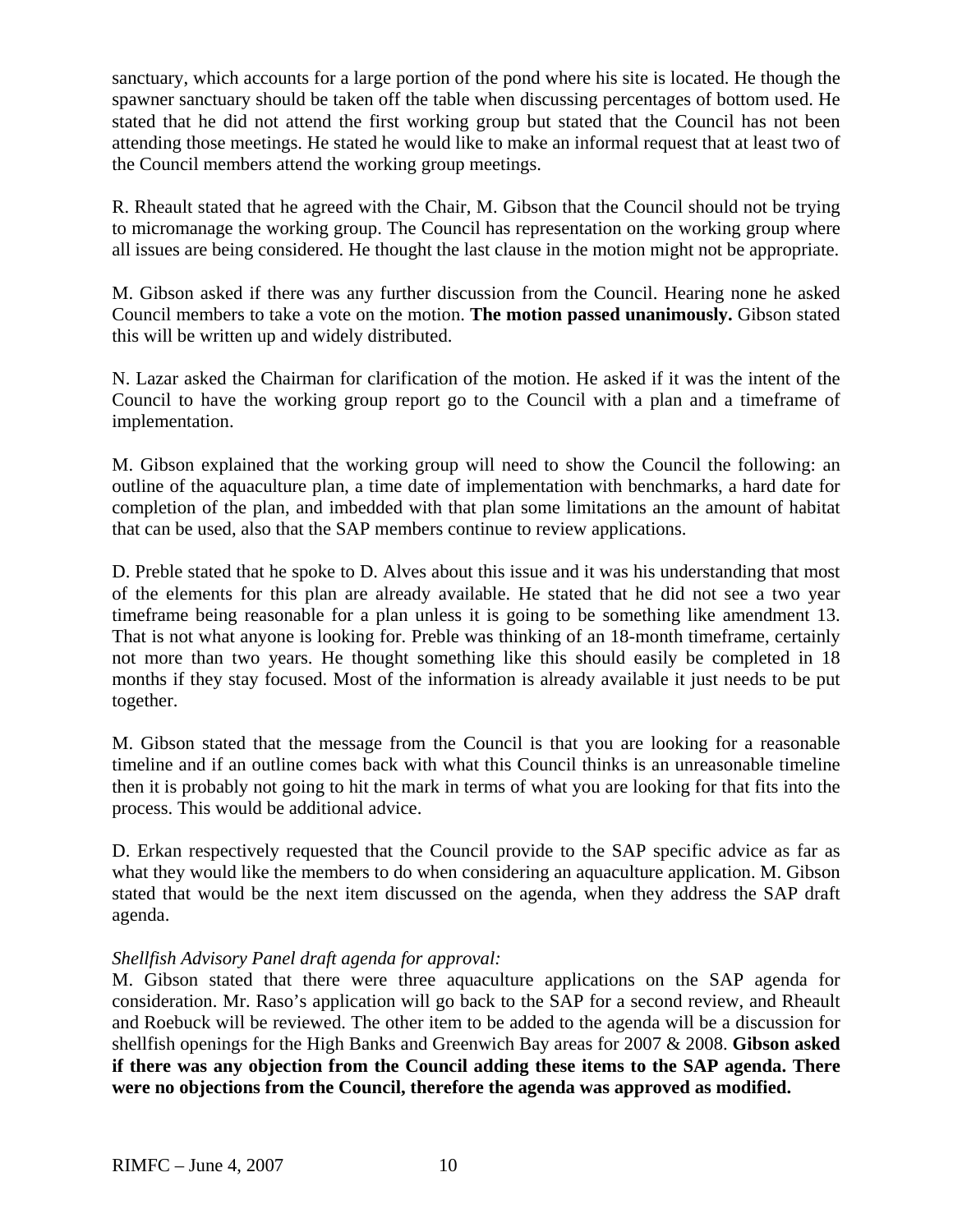sanctuary, which accounts for a large portion of the pond where his site is located. He though the spawner sanctuary should be taken off the table when discussing percentages of bottom used. He stated that he did not attend the first working group but stated that the Council has not been attending those meetings. He stated he would like to make an informal request that at least two of the Council members attend the working group meetings.

R. Rheault stated that he agreed with the Chair, M. Gibson that the Council should not be trying to micromanage the working group. The Council has representation on the working group where all issues are being considered. He thought the last clause in the motion might not be appropriate.

M. Gibson asked if there was any further discussion from the Council. Hearing none he asked Council members to take a vote on the motion. **The motion passed unanimously.** Gibson stated this will be written up and widely distributed.

N. Lazar asked the Chairman for clarification of the motion. He asked if it was the intent of the Council to have the working group report go to the Council with a plan and a timeframe of implementation.

M. Gibson explained that the working group will need to show the Council the following: an outline of the aquaculture plan, a time date of implementation with benchmarks, a hard date for completion of the plan, and imbedded with that plan some limitations an the amount of habitat that can be used, also that the SAP members continue to review applications.

D. Preble stated that he spoke to D. Alves about this issue and it was his understanding that most of the elements for this plan are already available. He stated that he did not see a two year timeframe being reasonable for a plan unless it is going to be something like amendment 13. That is not what anyone is looking for. Preble was thinking of an 18-month timeframe, certainly not more than two years. He thought something like this should easily be completed in 18 months if they stay focused. Most of the information is already available it just needs to be put together.

M. Gibson stated that the message from the Council is that you are looking for a reasonable timeline and if an outline comes back with what this Council thinks is an unreasonable timeline then it is probably not going to hit the mark in terms of what you are looking for that fits into the process. This would be additional advice.

D. Erkan respectively requested that the Council provide to the SAP specific advice as far as what they would like the members to do when considering an aquaculture application. M. Gibson stated that would be the next item discussed on the agenda, when they address the SAP draft agenda.

# *Shellfish Advisory Panel draft agenda for approval:*

M. Gibson stated that there were three aquaculture applications on the SAP agenda for consideration. Mr. Raso's application will go back to the SAP for a second review, and Rheault and Roebuck will be reviewed. The other item to be added to the agenda will be a discussion for shellfish openings for the High Banks and Greenwich Bay areas for 2007 & 2008. **Gibson asked if there was any objection from the Council adding these items to the SAP agenda. There were no objections from the Council, therefore the agenda was approved as modified.**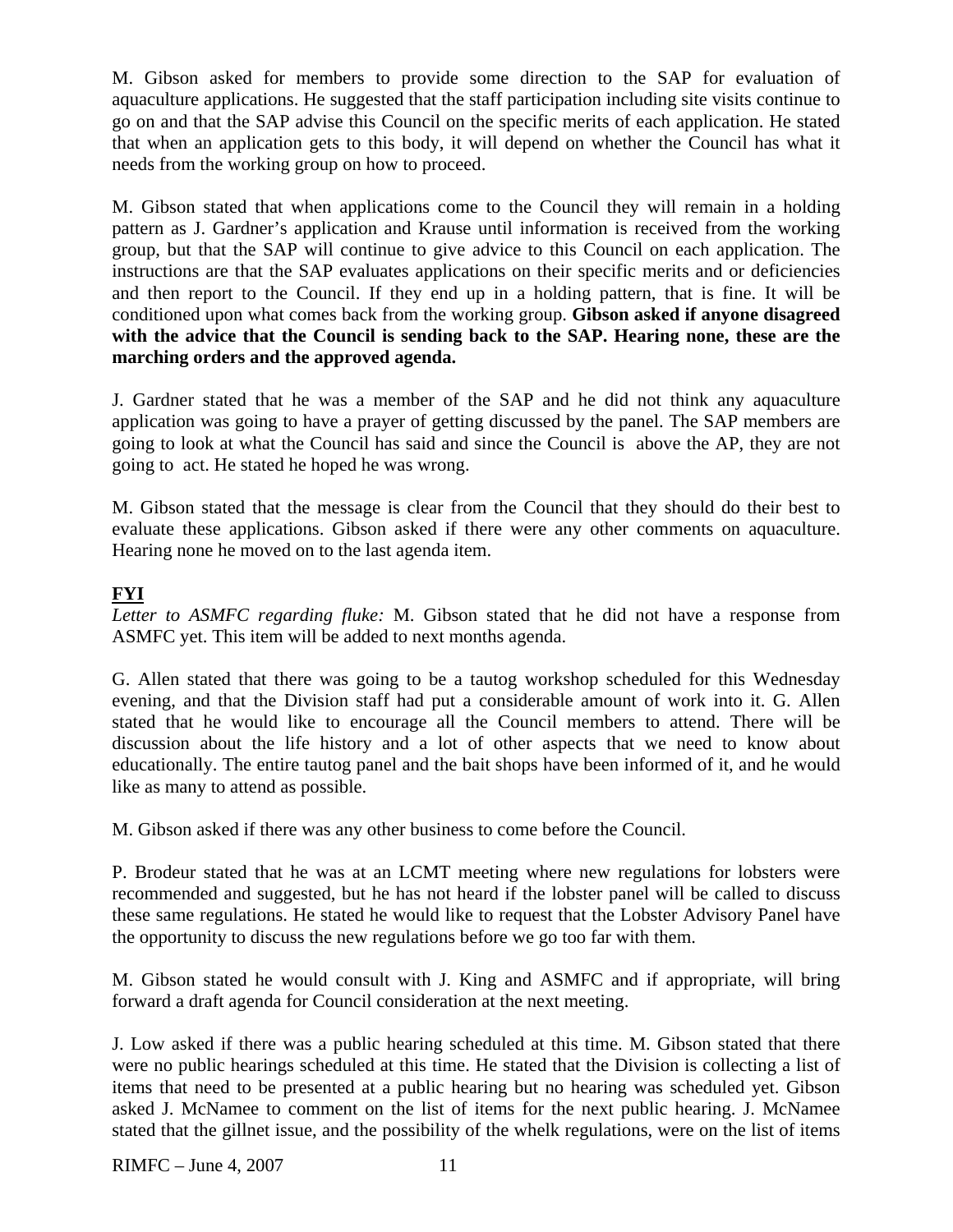M. Gibson asked for members to provide some direction to the SAP for evaluation of aquaculture applications. He suggested that the staff participation including site visits continue to go on and that the SAP advise this Council on the specific merits of each application. He stated that when an application gets to this body, it will depend on whether the Council has what it needs from the working group on how to proceed.

M. Gibson stated that when applications come to the Council they will remain in a holding pattern as J. Gardner's application and Krause until information is received from the working group, but that the SAP will continue to give advice to this Council on each application. The instructions are that the SAP evaluates applications on their specific merits and or deficiencies and then report to the Council. If they end up in a holding pattern, that is fine. It will be conditioned upon what comes back from the working group. **Gibson asked if anyone disagreed with the advice that the Council is sending back to the SAP. Hearing none, these are the marching orders and the approved agenda.** 

J. Gardner stated that he was a member of the SAP and he did not think any aquaculture application was going to have a prayer of getting discussed by the panel. The SAP members are going to look at what the Council has said and since the Council is above the AP, they are not going to act. He stated he hoped he was wrong.

M. Gibson stated that the message is clear from the Council that they should do their best to evaluate these applications. Gibson asked if there were any other comments on aquaculture. Hearing none he moved on to the last agenda item.

# **FYI**

*Letter to ASMFC regarding fluke:* M. Gibson stated that he did not have a response from ASMFC yet. This item will be added to next months agenda.

G. Allen stated that there was going to be a tautog workshop scheduled for this Wednesday evening, and that the Division staff had put a considerable amount of work into it. G. Allen stated that he would like to encourage all the Council members to attend. There will be discussion about the life history and a lot of other aspects that we need to know about educationally. The entire tautog panel and the bait shops have been informed of it, and he would like as many to attend as possible.

M. Gibson asked if there was any other business to come before the Council.

P. Brodeur stated that he was at an LCMT meeting where new regulations for lobsters were recommended and suggested, but he has not heard if the lobster panel will be called to discuss these same regulations. He stated he would like to request that the Lobster Advisory Panel have the opportunity to discuss the new regulations before we go too far with them.

M. Gibson stated he would consult with J. King and ASMFC and if appropriate, will bring forward a draft agenda for Council consideration at the next meeting.

J. Low asked if there was a public hearing scheduled at this time. M. Gibson stated that there were no public hearings scheduled at this time. He stated that the Division is collecting a list of items that need to be presented at a public hearing but no hearing was scheduled yet. Gibson asked J. McNamee to comment on the list of items for the next public hearing. J. McNamee stated that the gillnet issue, and the possibility of the whelk regulations, were on the list of items